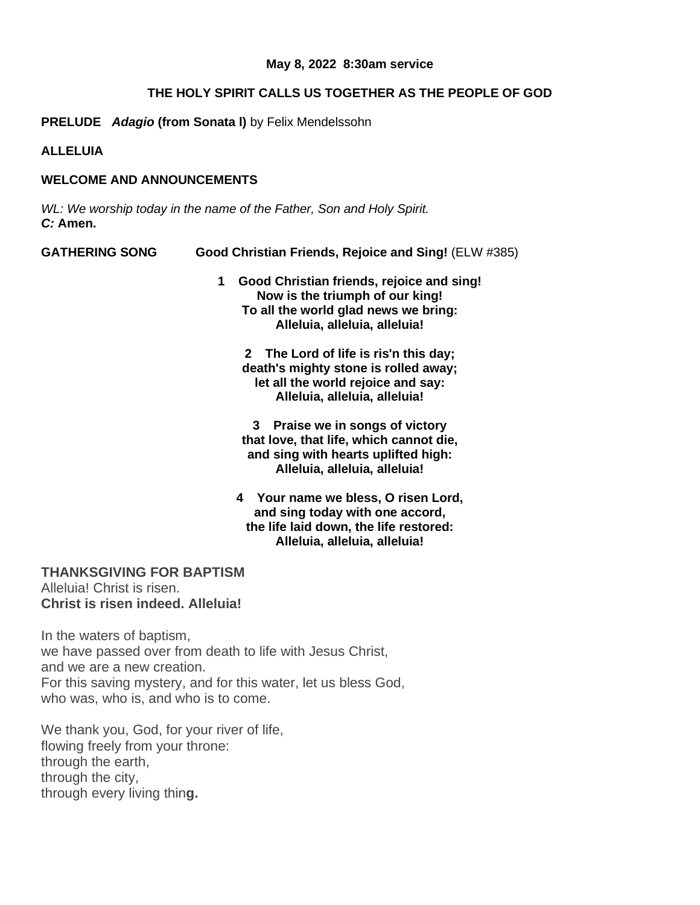### **May 8, 2022 8:30am service**

# **THE HOLY SPIRIT CALLS US TOGETHER AS THE PEOPLE OF GOD**

**PRELUDE** *Adagio* **(from Sonata l)** by Felix Mendelssohn

**ALLELUIA**

# **WELCOME AND ANNOUNCEMENTS**

*WL: We worship today in the name of the Father, Son and Holy Spirit. C:* **Amen.**

| <b>GATHERING SONG</b> | Good Christian Friends, Rejoice and Sing! (ELW #385)                              |  |
|-----------------------|-----------------------------------------------------------------------------------|--|
|                       | Good Christian friends, rejoice and sing!<br>1<br>Now is the triumph of our king! |  |
|                       | To all the world glad news we bring:                                              |  |
|                       | Alleluia, alleluia, alleluia!                                                     |  |
|                       | 2 The Lord of life is ris'n this day;                                             |  |
|                       | death's mighty stone is rolled away;                                              |  |
|                       | let all the world rejoice and say:                                                |  |
|                       | Alleluia, alleluia, alleluia!                                                     |  |
|                       | Praise we in songs of victory<br>3                                                |  |
|                       | that love, that life, which cannot die,                                           |  |
|                       | and sing with hearts uplifted high:                                               |  |
|                       | Alleluia, alleluia, alleluia!                                                     |  |
|                       | 4 Your name we bless, O risen Lord,                                               |  |
|                       | and sing today with one accord,                                                   |  |
|                       | the life laid down, the life restored:                                            |  |
|                       | Alleluia, alleluia, alleluia!                                                     |  |

**THANKSGIVING FOR BAPTISM**

Alleluia! Christ is risen. **Christ is risen indeed. Alleluia!**

In the waters of baptism, we have passed over from death to life with Jesus Christ, and we are a new creation. For this saving mystery, and for this water, let us bless God, who was, who is, and who is to come.

We thank you, God, for your river of life, flowing freely from your throne: through the earth, through the city, through every living thin**g.**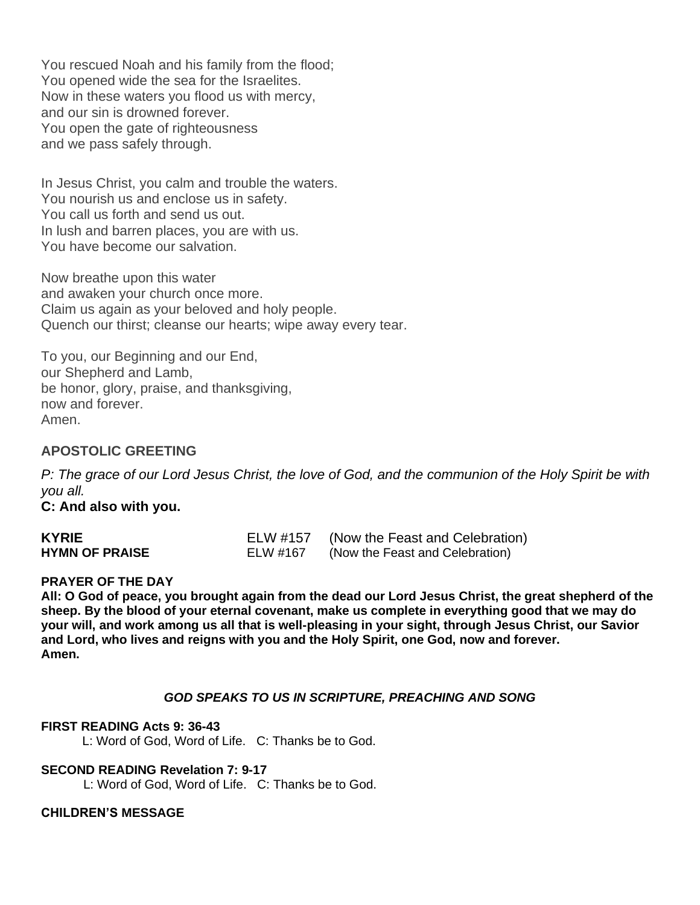You rescued Noah and his family from the flood; You opened wide the sea for the Israelites. Now in these waters you flood us with mercy, and our sin is drowned forever. You open the gate of righteousness and we pass safely through.

In Jesus Christ, you calm and trouble the waters. You nourish us and enclose us in safety. You call us forth and send us out. In lush and barren places, you are with us. You have become our salvation.

Now breathe upon this water and awaken your church once more. Claim us again as your beloved and holy people. Quench our thirst; cleanse our hearts; wipe away every tear.

To you, our Beginning and our End, our Shepherd and Lamb, be honor, glory, praise, and thanksgiving, now and forever. Amen.

# **APOSTOLIC GREETING**

P: The grace of our Lord Jesus Christ, the love of God, and the communion of the Holy Spirit be with *you all.*

**C: And also with you.**

| <b>KYRIE</b>          | ELW #157 | (Now the Feast and Celebration) |
|-----------------------|----------|---------------------------------|
| <b>HYMN OF PRAISE</b> | ELW #167 | (Now the Feast and Celebration) |

#### **PRAYER OF THE DAY**

**All: O God of peace, you brought again from the dead our Lord Jesus Christ, the great shepherd of the sheep. By the blood of your eternal covenant, make us complete in everything good that we may do your will, and work among us all that is well-pleasing in your sight, through Jesus Christ, our Savior and Lord, who lives and reigns with you and the Holy Spirit, one God, now and forever. Amen.**

## *GOD SPEAKS TO US IN SCRIPTURE, PREACHING AND SONG*

#### **FIRST READING Acts 9: 36-43**

L: Word of God, Word of Life. C: Thanks be to God.

#### **SECOND READING Revelation 7: 9-17**

L: Word of God, Word of Life. C: Thanks be to God.

#### **CHILDREN'S MESSAGE**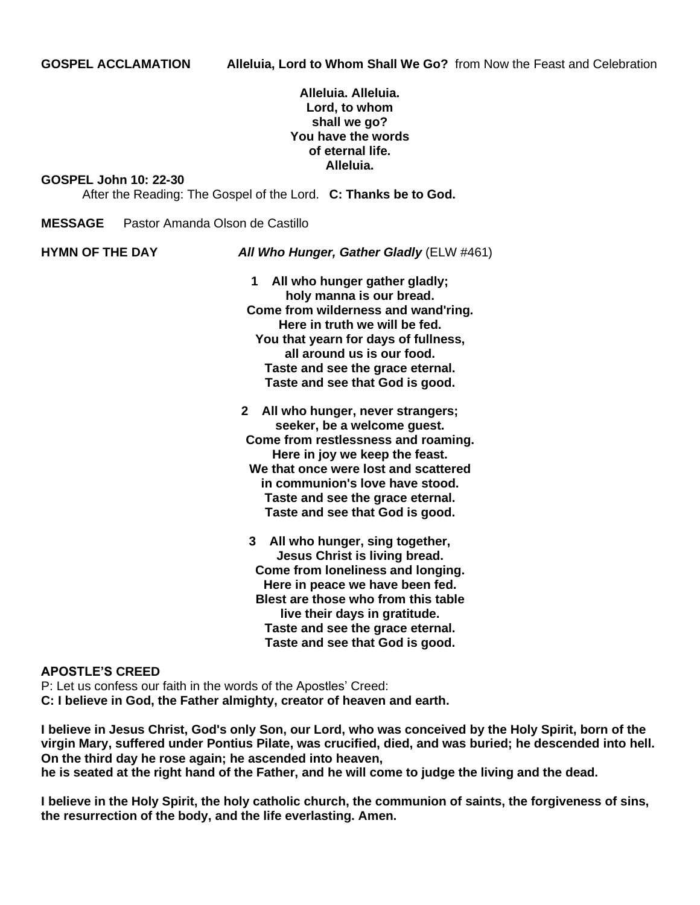## **Alleluia. Alleluia. Lord, to whom shall we go? You have the words of eternal life. Alleluia.**

#### **GOSPEL John 10: 22-30**

After the Reading: The Gospel of the Lord. **C: Thanks be to God.**

- **MESSAGE** Pastor Amanda Olson de Castillo
- 

**HYMN OF THE DAY** *All Who Hunger, Gather Gladly* (ELW #461)

- **1 All who hunger gather gladly; holy manna is our bread. Come from wilderness and wand'ring. Here in truth we will be fed. You that yearn for days of fullness, all around us is our food. Taste and see the grace eternal. Taste and see that God is good.**
- **2 All who hunger, never strangers; seeker, be a welcome guest. Come from restlessness and roaming. Here in joy we keep the feast. We that once were lost and scattered in communion's love have stood. Taste and see the grace eternal. Taste and see that God is good.**
	- **3 All who hunger, sing together, Jesus Christ is living bread. Come from loneliness and longing. Here in peace we have been fed. Blest are those who from this table live their days in gratitude. Taste and see the grace eternal. Taste and see that God is good.**

#### **APOSTLE'S CREED**

P: Let us confess our faith in the words of the Apostles' Creed: **C: I believe in God, the Father almighty, creator of heaven and earth.**

I believe in Jesus Christ, God's only Son, our Lord, who was conceived by the Holy Spirit, born of the **virgin Mary, suffered under Pontius Pilate, was crucified, died, and was buried; he descended into hell. On the third day he rose again; he ascended into heaven,**

he is seated at the right hand of the Father, and he will come to judge the living and the dead.

I believe in the Holy Spirit, the holy catholic church, the communion of saints, the forgiveness of sins, **the resurrection of the body, and the life everlasting. Amen.**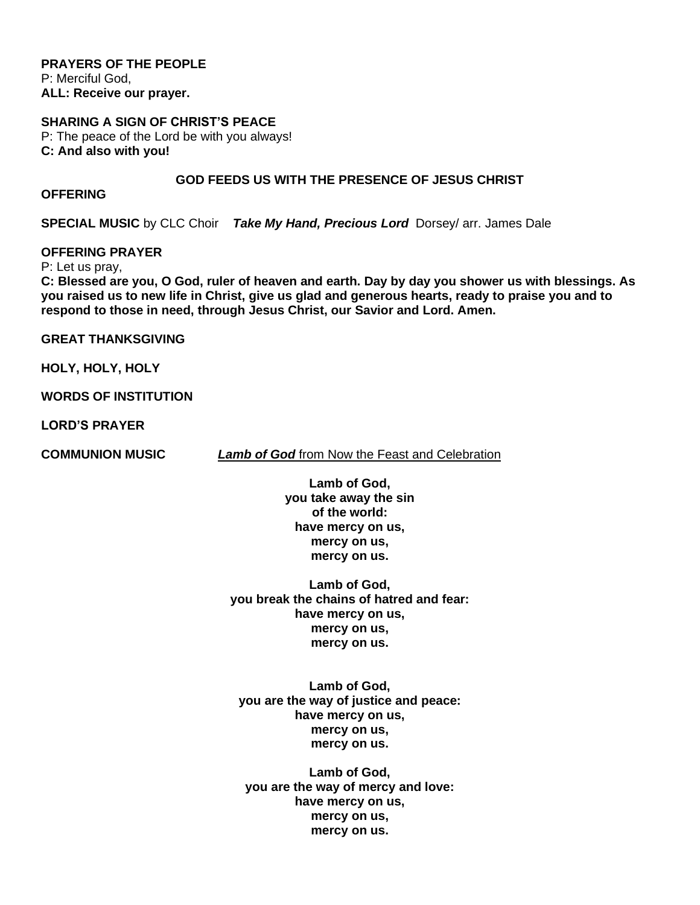**PRAYERS OF THE PEOPLE** P: Merciful God, **ALL: Receive our prayer.**

## **SHARING A SIGN OF CHRIST'S PEACE**

P: The peace of the Lord be with you always! **C: And also with you!**

#### **GOD FEEDS US WITH THE PRESENCE OF JESUS CHRIST**

#### **OFFERING**

**SPECIAL MUSIC** by CLC Choir*Take My Hand, Precious Lord* Dorsey/ arr. James Dale

## **OFFERING PRAYER**

P: Let us pray,

C: Blessed are you, O God, ruler of heaven and earth. Day by day you shower us with blessings. As you raised us to new life in Christ, give us glad and generous hearts, ready to praise you and to **respond to those in need, through Jesus Christ, our Savior and Lord. Amen.**

**GREAT THANKSGIVING**

**HOLY, HOLY, HOLY**

**WORDS OF INSTITUTION**

**LORD'S PRAYER**

**COMMUNION MUSIC** *Lamb of God* from Now the Feast and Celebration

**Lamb of God, you take away the sin of the world: have mercy on us, mercy on us, mercy on us.**

**Lamb of God, you break the chains of hatred and fear: have mercy on us, mercy on us, mercy on us.**

**Lamb of God, you are the way of justice and peace: have mercy on us, mercy on us, mercy on us.**

**Lamb of God, you are the way of mercy and love: have mercy on us, mercy on us, mercy on us.**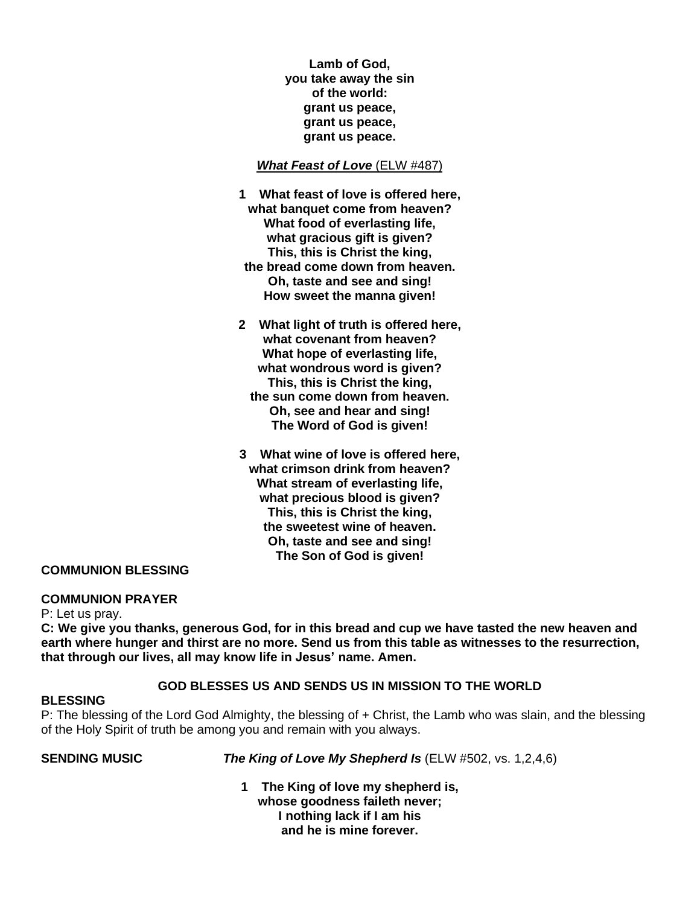**Lamb of God, you take away the sin of the world: grant us peace, grant us peace, grant us peace.**

## *What Feast of Love* (ELW #487)

- **1 What feast of love is offered here, what banquet come from heaven? What food of everlasting life, what gracious gift is given? This, this is Christ the king, the bread come down from heaven. Oh, taste and see and sing! How sweet the manna given!**
- **2 What light of truth is offered here, what covenant from heaven? What hope of everlasting life, what wondrous word is given? This, this is Christ the king, the sun come down from heaven. Oh, see and hear and sing! The Word of God is given!**
- **3 What wine of love is offered here, what crimson drink from heaven? What stream of everlasting life, what precious blood is given? This, this is Christ the king, the sweetest wine of heaven. Oh, taste and see and sing! The Son of God is given!**

## **COMMUNION BLESSING**

#### **COMMUNION PRAYER**

P: Let us pray.

C: We give you thanks, generous God, for in this bread and cup we have tasted the new heaven and earth where hunger and thirst are no more. Send us from this table as witnesses to the resurrection, **that through our lives, all may know life in Jesus' name. Amen.**

#### **GOD BLESSES US AND SENDS US IN MISSION TO THE WORLD**

#### **BLESSING**

P: The blessing of the Lord God Almighty, the blessing of + Christ, the Lamb who was slain, and the blessing of the Holy Spirit of truth be among you and remain with you always.

**SENDING MUSIC** *The King of Love My Shepherd Is* (ELW #502, vs. 1,2,4,6)

**1 The King of love my shepherd is, whose goodness faileth never; I nothing lack if I am his and he is mine forever.**